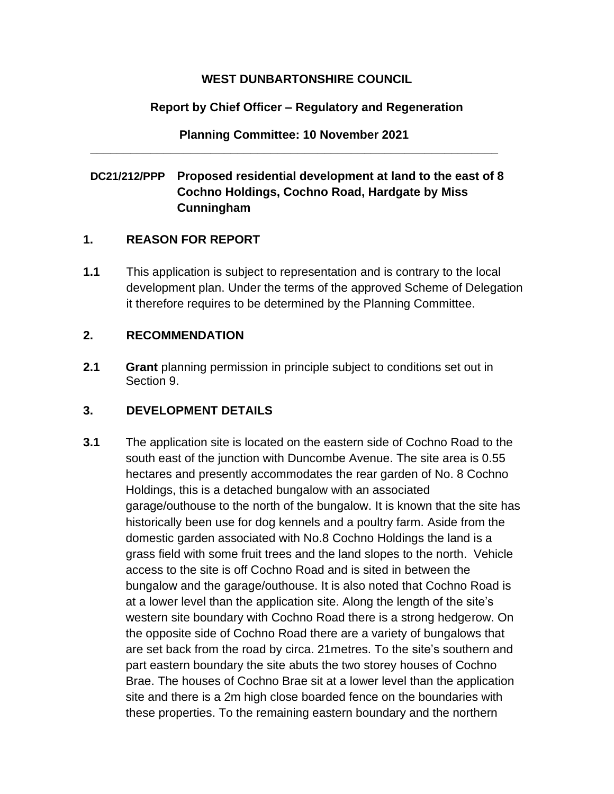### **WEST DUNBARTONSHIRE COUNCIL**

# **Report by Chief Officer – Regulatory and Regeneration**

**Planning Committee: 10 November 2021 \_\_\_\_\_\_\_\_\_\_\_\_\_\_\_\_\_\_\_\_\_\_\_\_\_\_\_\_\_\_\_\_\_\_\_\_\_\_\_\_\_\_\_\_\_\_\_\_\_\_\_\_\_\_\_\_\_\_\_\_\_** 

# **DC21/212/PPP Proposed residential development at land to the east of 8 Cochno Holdings, Cochno Road, Hardgate by Miss Cunningham**

# **1. REASON FOR REPORT**

**1.1** This application is subject to representation and is contrary to the local development plan. Under the terms of the approved Scheme of Delegation it therefore requires to be determined by the Planning Committee.

# **2. RECOMMENDATION**

**2.1 Grant** planning permission in principle subject to conditions set out in Section 9.

# **3. DEVELOPMENT DETAILS**

**3.1** The application site is located on the eastern side of Cochno Road to the south east of the junction with Duncombe Avenue. The site area is 0.55 hectares and presently accommodates the rear garden of No. 8 Cochno Holdings, this is a detached bungalow with an associated garage/outhouse to the north of the bungalow. It is known that the site has historically been use for dog kennels and a poultry farm. Aside from the domestic garden associated with No.8 Cochno Holdings the land is a grass field with some fruit trees and the land slopes to the north. Vehicle access to the site is off Cochno Road and is sited in between the bungalow and the garage/outhouse. It is also noted that Cochno Road is at a lower level than the application site. Along the length of the site's western site boundary with Cochno Road there is a strong hedgerow. On the opposite side of Cochno Road there are a variety of bungalows that are set back from the road by circa. 21metres. To the site's southern and part eastern boundary the site abuts the two storey houses of Cochno Brae. The houses of Cochno Brae sit at a lower level than the application site and there is a 2m high close boarded fence on the boundaries with these properties. To the remaining eastern boundary and the northern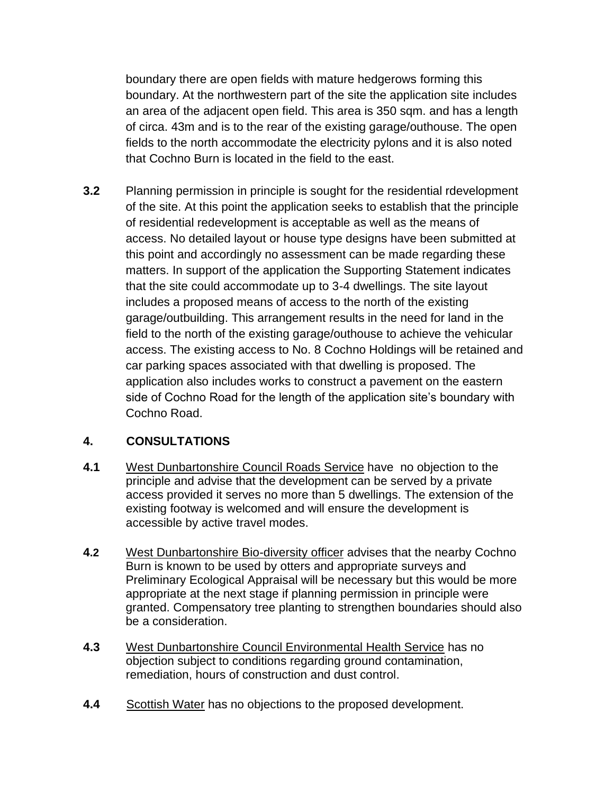boundary there are open fields with mature hedgerows forming this boundary. At the northwestern part of the site the application site includes an area of the adjacent open field. This area is 350 sqm. and has a length of circa. 43m and is to the rear of the existing garage/outhouse. The open fields to the north accommodate the electricity pylons and it is also noted that Cochno Burn is located in the field to the east.

**3.2** Planning permission in principle is sought for the residential rdevelopment of the site. At this point the application seeks to establish that the principle of residential redevelopment is acceptable as well as the means of access. No detailed layout or house type designs have been submitted at this point and accordingly no assessment can be made regarding these matters. In support of the application the Supporting Statement indicates that the site could accommodate up to 3-4 dwellings. The site layout includes a proposed means of access to the north of the existing garage/outbuilding. This arrangement results in the need for land in the field to the north of the existing garage/outhouse to achieve the vehicular access. The existing access to No. 8 Cochno Holdings will be retained and car parking spaces associated with that dwelling is proposed. The application also includes works to construct a pavement on the eastern side of Cochno Road for the length of the application site's boundary with Cochno Road.

# **4. CONSULTATIONS**

- **4.1** West Dunbartonshire Council Roads Service have no objection to the principle and advise that the development can be served by a private access provided it serves no more than 5 dwellings. The extension of the existing footway is welcomed and will ensure the development is accessible by active travel modes.
- **4.2** West Dunbartonshire Bio-diversity officer advises that the nearby Cochno Burn is known to be used by otters and appropriate surveys and Preliminary Ecological Appraisal will be necessary but this would be more appropriate at the next stage if planning permission in principle were granted. Compensatory tree planting to strengthen boundaries should also be a consideration.
- **4.3** West Dunbartonshire Council Environmental Health Service has no objection subject to conditions regarding ground contamination, remediation, hours of construction and dust control.
- **4.4** Scottish Water has no objections to the proposed development.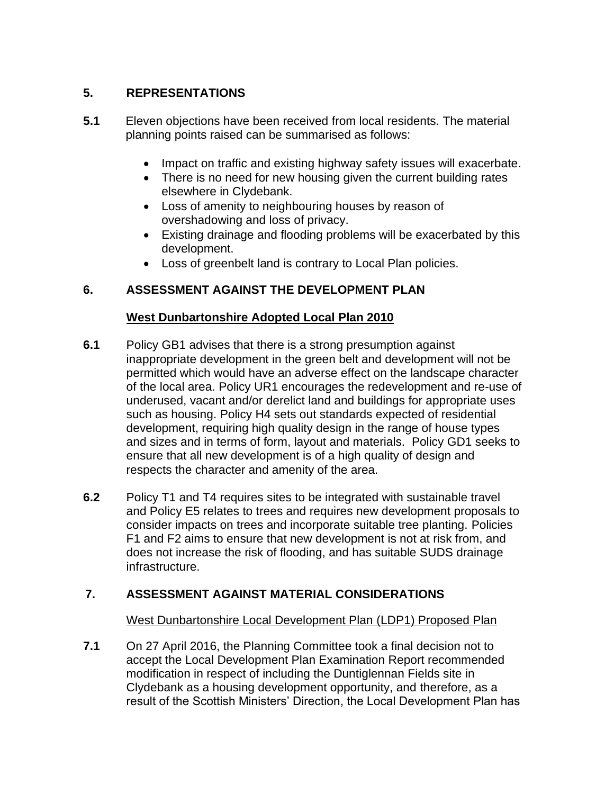# **5. REPRESENTATIONS**

- **5.1** Eleven objections have been received from local residents. The material planning points raised can be summarised as follows:
	- Impact on traffic and existing highway safety issues will exacerbate.
	- There is no need for new housing given the current building rates elsewhere in Clydebank.
	- Loss of amenity to neighbouring houses by reason of overshadowing and loss of privacy.
	- Existing drainage and flooding problems will be exacerbated by this development.
	- Loss of greenbelt land is contrary to Local Plan policies.

# **6. ASSESSMENT AGAINST THE DEVELOPMENT PLAN**

### **West Dunbartonshire Adopted Local Plan 2010**

- **6.1** Policy GB1 advises that there is a strong presumption against inappropriate development in the green belt and development will not be permitted which would have an adverse effect on the landscape character of the local area. Policy UR1 encourages the redevelopment and re-use of underused, vacant and/or derelict land and buildings for appropriate uses such as housing. Policy H4 sets out standards expected of residential development, requiring high quality design in the range of house types and sizes and in terms of form, layout and materials. Policy GD1 seeks to ensure that all new development is of a high quality of design and respects the character and amenity of the area.
- **6.2** Policy T1 and T4 requires sites to be integrated with sustainable travel and Policy E5 relates to trees and requires new development proposals to consider impacts on trees and incorporate suitable tree planting. Policies F1 and F2 aims to ensure that new development is not at risk from, and does not increase the risk of flooding, and has suitable SUDS drainage infrastructure.

# **7. ASSESSMENT AGAINST MATERIAL CONSIDERATIONS**

#### West Dunbartonshire Local Development Plan (LDP1) Proposed Plan

**7.1** On 27 April 2016, the Planning Committee took a final decision not to accept the Local Development Plan Examination Report recommended modification in respect of including the Duntiglennan Fields site in Clydebank as a housing development opportunity, and therefore, as a result of the Scottish Ministers' Direction, the Local Development Plan has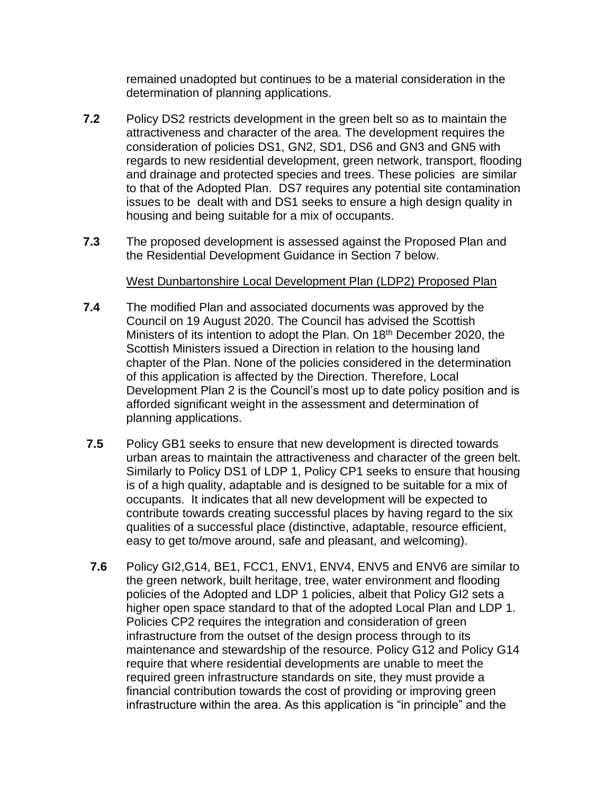remained unadopted but continues to be a material consideration in the determination of planning applications.

- **7.2** Policy DS2 restricts development in the green belt so as to maintain the attractiveness and character of the area. The development requires the consideration of policies DS1, GN2, SD1, DS6 and GN3 and GN5 with regards to new residential development, green network, transport, flooding and drainage and protected species and trees. These policies are similar to that of the Adopted Plan. DS7 requires any potential site contamination issues to be dealt with and DS1 seeks to ensure a high design quality in housing and being suitable for a mix of occupants.
- **7.3** The proposed development is assessed against the Proposed Plan and the Residential Development Guidance in Section 7 below.

#### West Dunbartonshire Local Development Plan (LDP2) Proposed Plan

- **7.4** The modified Plan and associated documents was approved by the Council on 19 August 2020. The Council has advised the Scottish Ministers of its intention to adopt the Plan. On 18<sup>th</sup> December 2020, the Scottish Ministers issued a Direction in relation to the housing land chapter of the Plan. None of the policies considered in the determination of this application is affected by the Direction. Therefore, Local Development Plan 2 is the Council's most up to date policy position and is afforded significant weight in the assessment and determination of planning applications.
- **7.5** Policy GB1 seeks to ensure that new development is directed towards urban areas to maintain the attractiveness and character of the green belt. Similarly to Policy DS1 of LDP 1, Policy CP1 seeks to ensure that housing is of a high quality, adaptable and is designed to be suitable for a mix of occupants. It indicates that all new development will be expected to contribute towards creating successful places by having regard to the six qualities of a successful place (distinctive, adaptable, resource efficient, easy to get to/move around, safe and pleasant, and welcoming).
- **7.6** Policy GI2,G14, BE1, FCC1, ENV1, ENV4, ENV5 and ENV6 are similar to the green network, built heritage, tree, water environment and flooding policies of the Adopted and LDP 1 policies, albeit that Policy GI2 sets a higher open space standard to that of the adopted Local Plan and LDP 1. Policies CP2 requires the integration and consideration of green infrastructure from the outset of the design process through to its maintenance and stewardship of the resource. Policy G12 and Policy G14 require that where residential developments are unable to meet the required green infrastructure standards on site, they must provide a financial contribution towards the cost of providing or improving green infrastructure within the area. As this application is "in principle" and the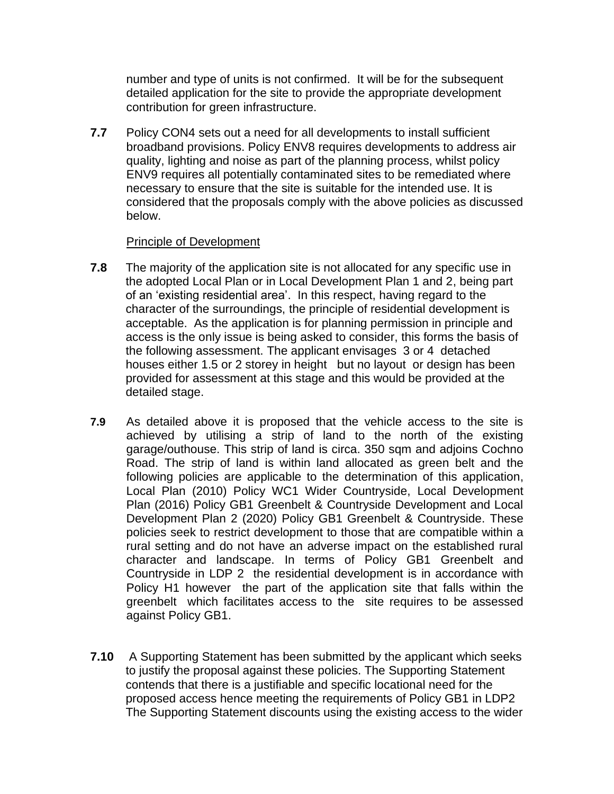number and type of units is not confirmed. It will be for the subsequent detailed application for the site to provide the appropriate development contribution for green infrastructure.

**7.7** Policy CON4 sets out a need for all developments to install sufficient broadband provisions. Policy ENV8 requires developments to address air quality, lighting and noise as part of the planning process, whilst policy ENV9 requires all potentially contaminated sites to be remediated where necessary to ensure that the site is suitable for the intended use. It is considered that the proposals comply with the above policies as discussed below.

#### Principle of Development

- **7.8** The majority of the application site is not allocated for any specific use in the adopted Local Plan or in Local Development Plan 1 and 2, being part of an 'existing residential area'. In this respect, having regard to the character of the surroundings, the principle of residential development is acceptable. As the application is for planning permission in principle and access is the only issue is being asked to consider, this forms the basis of the following assessment. The applicant envisages 3 or 4 detached houses either 1.5 or 2 storey in height but no layout or design has been provided for assessment at this stage and this would be provided at the detailed stage.
- **7.9** As detailed above it is proposed that the vehicle access to the site is achieved by utilising a strip of land to the north of the existing garage/outhouse. This strip of land is circa. 350 sqm and adjoins Cochno Road. The strip of land is within land allocated as green belt and the following policies are applicable to the determination of this application, Local Plan (2010) Policy WC1 Wider Countryside, Local Development Plan (2016) Policy GB1 Greenbelt & Countryside Development and Local Development Plan 2 (2020) Policy GB1 Greenbelt & Countryside. These policies seek to restrict development to those that are compatible within a rural setting and do not have an adverse impact on the established rural character and landscape. In terms of Policy GB1 Greenbelt and Countryside in LDP 2 the residential development is in accordance with Policy H1 however the part of the application site that falls within the greenbelt which facilitates access to the site requires to be assessed against Policy GB1.
- **7.10** A Supporting Statement has been submitted by the applicant which seeks to justify the proposal against these policies. The Supporting Statement contends that there is a justifiable and specific locational need for the proposed access hence meeting the requirements of Policy GB1 in LDP2 The Supporting Statement discounts using the existing access to the wider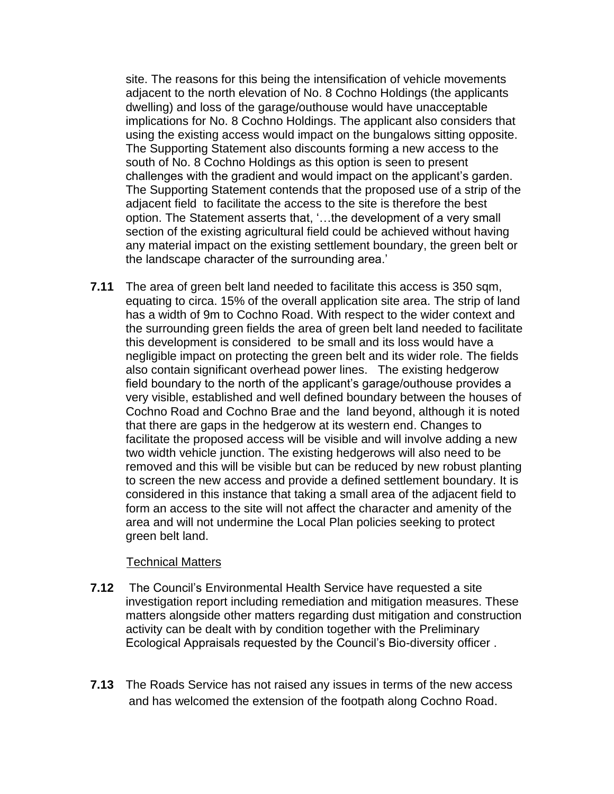site. The reasons for this being the intensification of vehicle movements adjacent to the north elevation of No. 8 Cochno Holdings (the applicants dwelling) and loss of the garage/outhouse would have unacceptable implications for No. 8 Cochno Holdings. The applicant also considers that using the existing access would impact on the bungalows sitting opposite. The Supporting Statement also discounts forming a new access to the south of No. 8 Cochno Holdings as this option is seen to present challenges with the gradient and would impact on the applicant's garden. The Supporting Statement contends that the proposed use of a strip of the adjacent field to facilitate the access to the site is therefore the best option. The Statement asserts that, '…the development of a very small section of the existing agricultural field could be achieved without having any material impact on the existing settlement boundary, the green belt or the landscape character of the surrounding area.'

**7.11** The area of green belt land needed to facilitate this access is 350 sqm, equating to circa. 15% of the overall application site area. The strip of land has a width of 9m to Cochno Road. With respect to the wider context and the surrounding green fields the area of green belt land needed to facilitate this development is considered to be small and its loss would have a negligible impact on protecting the green belt and its wider role. The fields also contain significant overhead power lines. The existing hedgerow field boundary to the north of the applicant's garage/outhouse provides a very visible, established and well defined boundary between the houses of Cochno Road and Cochno Brae and the land beyond, although it is noted that there are gaps in the hedgerow at its western end. Changes to facilitate the proposed access will be visible and will involve adding a new two width vehicle junction. The existing hedgerows will also need to be removed and this will be visible but can be reduced by new robust planting to screen the new access and provide a defined settlement boundary. It is considered in this instance that taking a small area of the adjacent field to form an access to the site will not affect the character and amenity of the area and will not undermine the Local Plan policies seeking to protect green belt land.

#### Technical Matters

- **7.12** The Council's Environmental Health Service have requested a site investigation report including remediation and mitigation measures. These matters alongside other matters regarding dust mitigation and construction activity can be dealt with by condition together with the Preliminary Ecological Appraisals requested by the Council's Bio-diversity officer .
- **7.13** The Roads Service has not raised any issues in terms of the new access and has welcomed the extension of the footpath along Cochno Road.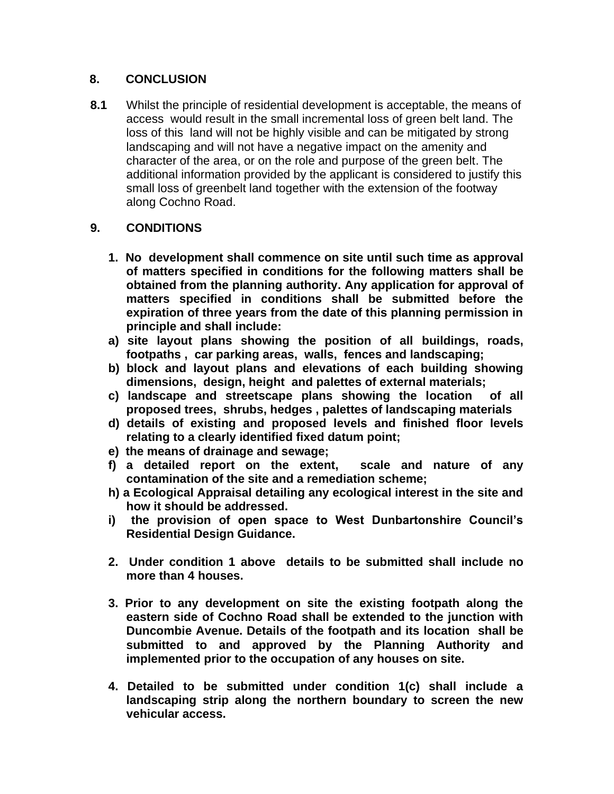### **8. CONCLUSION**

**8.1** Whilst the principle of residential development is acceptable, the means of access would result in the small incremental loss of green belt land. The loss of this land will not be highly visible and can be mitigated by strong landscaping and will not have a negative impact on the amenity and character of the area, or on the role and purpose of the green belt. The additional information provided by the applicant is considered to justify this small loss of greenbelt land together with the extension of the footway along Cochno Road.

# **9. CONDITIONS**

- **1. No development shall commence on site until such time as approval of matters specified in conditions for the following matters shall be obtained from the planning authority. Any application for approval of matters specified in conditions shall be submitted before the expiration of three years from the date of this planning permission in principle and shall include:**
- **a) site layout plans showing the position of all buildings, roads, footpaths , car parking areas, walls, fences and landscaping;**
- **b) block and layout plans and elevations of each building showing dimensions, design, height and palettes of external materials;**
- **c) landscape and streetscape plans showing the location of all proposed trees, shrubs, hedges , palettes of landscaping materials**
- **d) details of existing and proposed levels and finished floor levels relating to a clearly identified fixed datum point;**
- **e) the means of drainage and sewage;**
- **f) a detailed report on the extent, scale and nature of any contamination of the site and a remediation scheme;**
- **h) a Ecological Appraisal detailing any ecological interest in the site and how it should be addressed.**
- **i) the provision of open space to West Dunbartonshire Council's Residential Design Guidance.**
- **2. Under condition 1 above details to be submitted shall include no more than 4 houses.**
- **3. Prior to any development on site the existing footpath along the eastern side of Cochno Road shall be extended to the junction with Duncombie Avenue. Details of the footpath and its location shall be submitted to and approved by the Planning Authority and implemented prior to the occupation of any houses on site.**
- **4. Detailed to be submitted under condition 1(c) shall include a landscaping strip along the northern boundary to screen the new vehicular access.**